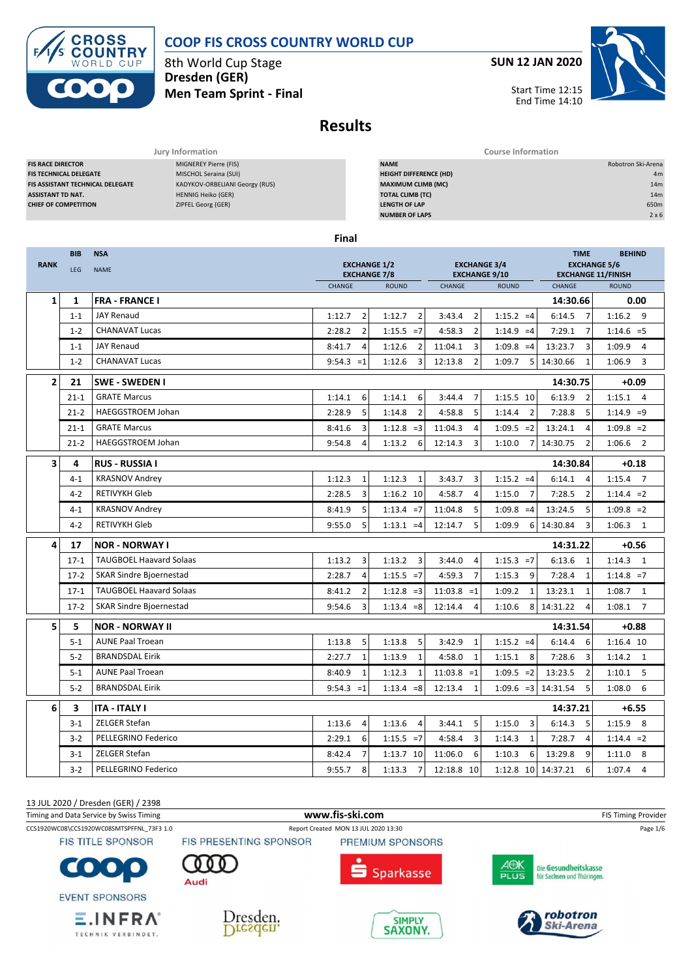

# **COOP FIS CROSS COUNTRY WORLD CUP**

8th World Cup Stage **Dresden (GER) Men Team Sprint - Final** **SUN 12 JAN 2020**



**Results**

| Jury Information                                                                                                                                                                                                                                                                                |            |                                |                                            |                                                                                                                                                       | <b>Course Information</b>                   |                           |                                                  |                                                                |  |  |  |
|-------------------------------------------------------------------------------------------------------------------------------------------------------------------------------------------------------------------------------------------------------------------------------------------------|------------|--------------------------------|--------------------------------------------|-------------------------------------------------------------------------------------------------------------------------------------------------------|---------------------------------------------|---------------------------|--------------------------------------------------|----------------------------------------------------------------|--|--|--|
| MIGNEREY Pierre (FIS)<br><b>FIS RACE DIRECTOR</b><br><b>FIS TECHNICAL DELEGATE</b><br>MISCHOL Seraina (SUI)<br>FIS ASSISTANT TECHNICAL DELEGATE<br>KADYKOV-ORBELIANI Georgy (RUS)<br><b>HENNIG Heiko (GER)</b><br><b>ASSISTANT TD NAT.</b><br>ZIPFEL Georg (GER)<br><b>CHIEF OF COMPETITION</b> |            |                                |                                            | <b>NAME</b><br><b>HEIGHT DIFFERENCE (HD)</b><br><b>MAXIMUM CLIMB (MC)</b><br><b>TOTAL CLIMB (TC)</b><br><b>LENGTH OF LAP</b><br><b>NUMBER OF LAPS</b> |                                             |                           |                                                  | Robotron Ski-Arena<br>4m<br>14m<br>14m<br>650m<br>$2 \times 6$ |  |  |  |
|                                                                                                                                                                                                                                                                                                 |            |                                | Final                                      |                                                                                                                                                       |                                             |                           |                                                  |                                                                |  |  |  |
|                                                                                                                                                                                                                                                                                                 | <b>BIB</b> | <b>NSA</b>                     |                                            |                                                                                                                                                       |                                             |                           | <b>TIME</b>                                      | <b>BEHIND</b>                                                  |  |  |  |
| <b>RANK</b>                                                                                                                                                                                                                                                                                     | LEG        | <b>NAME</b>                    | <b>EXCHANGE 1/2</b><br><b>EXCHANGE 7/8</b> |                                                                                                                                                       | <b>EXCHANGE 3/4</b><br><b>EXCHANGE 9/10</b> |                           | <b>EXCHANGE 5/6</b><br><b>EXCHANGE 11/FINISH</b> |                                                                |  |  |  |
|                                                                                                                                                                                                                                                                                                 |            |                                | CHANGE                                     | <b>ROUND</b>                                                                                                                                          | CHANGE                                      | <b>ROUND</b>              | CHANGE                                           | <b>ROUND</b>                                                   |  |  |  |
| 1                                                                                                                                                                                                                                                                                               | 1          | <b>FRA - FRANCE I</b>          |                                            |                                                                                                                                                       |                                             |                           | 14:30.66                                         | 0.00                                                           |  |  |  |
|                                                                                                                                                                                                                                                                                                 | $1 - 1$    | <b>JAY Renaud</b>              | $\overline{2}$<br>1:12.7                   | 1:12.7<br>$\overline{2}$                                                                                                                              | 3:43.4<br>$\overline{2}$                    | $1:15.2 = 4$              | 6:14.5<br>$\overline{7}$                         | 1:16.2<br>- 9                                                  |  |  |  |
|                                                                                                                                                                                                                                                                                                 | $1 - 2$    | <b>CHANAVAT Lucas</b>          | $\overline{2}$<br>2:28.2                   | $1:15.5 = 7$                                                                                                                                          | 4:58.3<br>$\overline{2}$                    | $1:14.9 = 4$              | 7:29.1<br>$\overline{7}$                         | $1:14.6 = 5$                                                   |  |  |  |
|                                                                                                                                                                                                                                                                                                 | $1 - 1$    | <b>JAY Renaud</b>              | 8:41.7<br>4                                | 1:12.6<br>$\overline{2}$                                                                                                                              | 11:04.1<br>3                                | $1:09.8 = 4$              | 3<br>13:23.7                                     | 1:09.9<br>$\overline{4}$                                       |  |  |  |
|                                                                                                                                                                                                                                                                                                 | $1 - 2$    | <b>CHANAVAT Lucas</b>          | $9:54.3 = 1$                               | 1:12.6<br>3                                                                                                                                           | 12:13.8<br>$\overline{2}$                   | 1:09.7<br>5 <sub>l</sub>  | 14:30.66<br>$\mathbf{1}$                         | 1:06.9<br>3                                                    |  |  |  |
| $\overline{2}$                                                                                                                                                                                                                                                                                  | 21         | <b>SWE - SWEDEN I</b>          |                                            |                                                                                                                                                       |                                             |                           | 14:30.75                                         | $+0.09$                                                        |  |  |  |
|                                                                                                                                                                                                                                                                                                 | $21 - 1$   | <b>GRATE Marcus</b>            | 6<br>1:14.1                                | 6<br>1:14.1                                                                                                                                           | 3:44.4<br>$\overline{7}$                    | 1:15.5 10                 | 6:13.9<br>$\overline{2}$                         | $1:15.1$ 4                                                     |  |  |  |
|                                                                                                                                                                                                                                                                                                 | $21 - 2$   | <b>HAEGGSTROEM Johan</b>       | 5<br>2:28.9                                | $\overline{2}$<br>1:14.8                                                                                                                              | 5<br>4:58.8                                 | $\overline{2}$<br>1:14.4  | 5<br>7:28.8                                      | $1:14.9 = 9$                                                   |  |  |  |
|                                                                                                                                                                                                                                                                                                 | $21 - 1$   | <b>GRATE Marcus</b>            | 8:41.6<br>3                                | 1:12.8<br>$=$ 3                                                                                                                                       | 11:04.3<br>4                                | $1:09.5 = 2$              | 13:24.1<br>$\overline{4}$                        | $1:09.8 = 2$                                                   |  |  |  |
|                                                                                                                                                                                                                                                                                                 | $21 - 2$   | <b>HAEGGSTROEM Johan</b>       | 9:54.8<br>4                                | 1:13.2<br>6                                                                                                                                           | 12:14.3<br>3                                | 1:10.0<br>$7 \frac{1}{2}$ | 14:30.75<br>$\overline{2}$                       | 1:06.6<br>$\overline{2}$                                       |  |  |  |
| 3                                                                                                                                                                                                                                                                                               | 4          | <b>RUS - RUSSIA I</b>          |                                            |                                                                                                                                                       |                                             |                           | 14:30.84                                         | $+0.18$                                                        |  |  |  |
|                                                                                                                                                                                                                                                                                                 | $4 - 1$    | <b>KRASNOV Andrey</b>          | 1:12.3<br>$\mathbf{1}$                     | 1:12.3<br>1                                                                                                                                           | 3:43.7<br>3                                 | $1:15.2 = 4$              | 6:14.1<br>4                                      | 1:15.4<br>$\overline{7}$                                       |  |  |  |
|                                                                                                                                                                                                                                                                                                 | $4-2$      | <b>RETIVYKH Gleb</b>           | 3<br>2:28.5                                | 1:16.2 10                                                                                                                                             | 4:58.7<br>4                                 | $\overline{7}$<br>1:15.0  | $\overline{2}$<br>7:28.5                         | $1:14.4 = 2$                                                   |  |  |  |
|                                                                                                                                                                                                                                                                                                 | $4 - 1$    | <b>KRASNOV Andrey</b>          | 8:41.9<br>5                                | $1:13.4 = 7$                                                                                                                                          | 11:04.8<br>5                                | $1:09.8 = 4$              | 13:24.5<br>5                                     | $1:09.8 = 2$                                                   |  |  |  |
|                                                                                                                                                                                                                                                                                                 | $4 - 2$    | RETIVYKH Gleb                  | 5<br>9:55.0                                | $1:13.1 = 4$                                                                                                                                          | 5<br>12:14.7                                | 1:09.9<br>$6 \mid$        | 3<br>14:30.84                                    | $1:06.3$ 1                                                     |  |  |  |
| 4                                                                                                                                                                                                                                                                                               | 17         | <b>NOR - NORWAY I</b>          |                                            |                                                                                                                                                       |                                             |                           | 14:31.22                                         | $+0.56$                                                        |  |  |  |
|                                                                                                                                                                                                                                                                                                 | $17-1$     | <b>TAUGBOEL Haavard Solaas</b> | 3<br>1:13.2                                | 3<br>1:13.2                                                                                                                                           | 3:44.0<br>4                                 | $1:15.3 = 7$              | 6:13.6<br>$\mathbf{1}$                           | $1:14.3$ 1                                                     |  |  |  |
|                                                                                                                                                                                                                                                                                                 | $17-2$     | <b>SKAR Sindre Bjoernestad</b> | 2:28.7<br>4                                | $1:15.5 = 7$                                                                                                                                          | 4:59.3<br>$\overline{7}$                    | 1:15.3<br>9               | 7:28.4<br>$\mathbf{1}$                           | $1:14.8 = 7$                                                   |  |  |  |
|                                                                                                                                                                                                                                                                                                 | $17-1$     | <b>TAUGBOEL Haavard Solaas</b> | 8:41.2<br>$\overline{2}$                   | 1:12.8<br>$=3$                                                                                                                                        | $11:03.8 = 1$                               | 1:09.2<br>$\mathbf{1}$    | 13:23.1<br>$\mathbf{1}$                          | 1:08.7<br>1                                                    |  |  |  |
|                                                                                                                                                                                                                                                                                                 | $17-2$     | <b>SKAR Sindre Bjoernestad</b> | 9:54.6<br>3                                | $1:13.4 = 8$                                                                                                                                          | 12:14.4<br>4                                | 8<br>1:10.6               | 14:31.22<br>4                                    | 1:08.1<br>$\overline{7}$                                       |  |  |  |
| 5                                                                                                                                                                                                                                                                                               | 5          | <b>NOR - NORWAY II</b>         |                                            |                                                                                                                                                       |                                             |                           | 14:31.54                                         | $+0.88$                                                        |  |  |  |
|                                                                                                                                                                                                                                                                                                 | $5 - 1$    | <b>AUNE Paal Troean</b>        | 1:13.8<br>5                                | 1:13.8<br>5                                                                                                                                           | 3:42.9<br>1                                 | $1:15.2 = 4$              | 6:14.4<br>6                                      | 1:16.4 10                                                      |  |  |  |
|                                                                                                                                                                                                                                                                                                 | $5 - 2$    | <b>BRANDSDAL Eirik</b>         | 2:27.7<br>$\mathbf{1}$                     | $\mathbf{1}$<br>1:13.9                                                                                                                                | 4:58.0<br>$\mathbf{1}$                      | 1:15.1<br>8               | 7:28.6<br>3                                      | 1:14.2<br>1                                                    |  |  |  |
|                                                                                                                                                                                                                                                                                                 | $5 - 1$    | <b>AUNE Paal Troean</b>        | $\mathbf{1}$<br>8:40.9                     | $\mathbf{1}$<br>1:12.3                                                                                                                                | $11:03.8 = 1$                               | $1:09.5 = 2$              | $\overline{2}$<br>13:23.5                        | 5<br>1:10.1                                                    |  |  |  |

13 JUL 2020 / Dresden (GER) / 2398 3-1 ZELGER Stefan 8:42.4 7 1:13.7 10 11:06.0 6 1:10.3 6 13:29.8 9 1:11.0 8 3-2 PELLEGRINO Federico 20:55.7 8 1:13.3 7 12:18.8 10 1:12.8 10 14:37.21 6 1:07.4 4

TECHNIK VERBINDET.

Timing and Data Service by Swiss Timing **WWW.fis-Ski.com www.fis-ski.com WWW.fis-Ski.com** FIS Timing Provider CCS1920WC08\CCS1920WC08SMTSPFFNL\_73F3 1.0 Report Created MON 13 JUL 2020 13:30 Page 1/6 **FIS TITLE SPONSOR** FIS PRESENTING SPONSOR **PREMIUM SPONSORS** A⊕K Die Gesundheitskasse **Sparkasse** PLUS für Sachsen und Thüringen. Audi **EVENT SPONSORS** robotron  $E.INFRA^{\circ}$ Dresden. **SIMPLY Ski-Arena** Dresden. **SAXONY.** 

5-2 BRANDSDAL Eirik 1:08.0 6 | 9:54.3 =1 1:13.4 =8 12:13.4 1 1:09.6 =3 14:31.54 5 1:08.0 6 **6 3 ITA - ITALY I 14:37.21 +6.55** 3-1 ZELGER Stefan 1:13.6 4 1:13.6 4 3:44.1 5 1:15.0 3 6:14.3 5 1:15.9 8 3-2 PELLEGRINO Federico 2002 2:29.1 6 1:15.5 =7 4:58.4 3 1:14.3 1 7:28.7 4 1:14.4 =2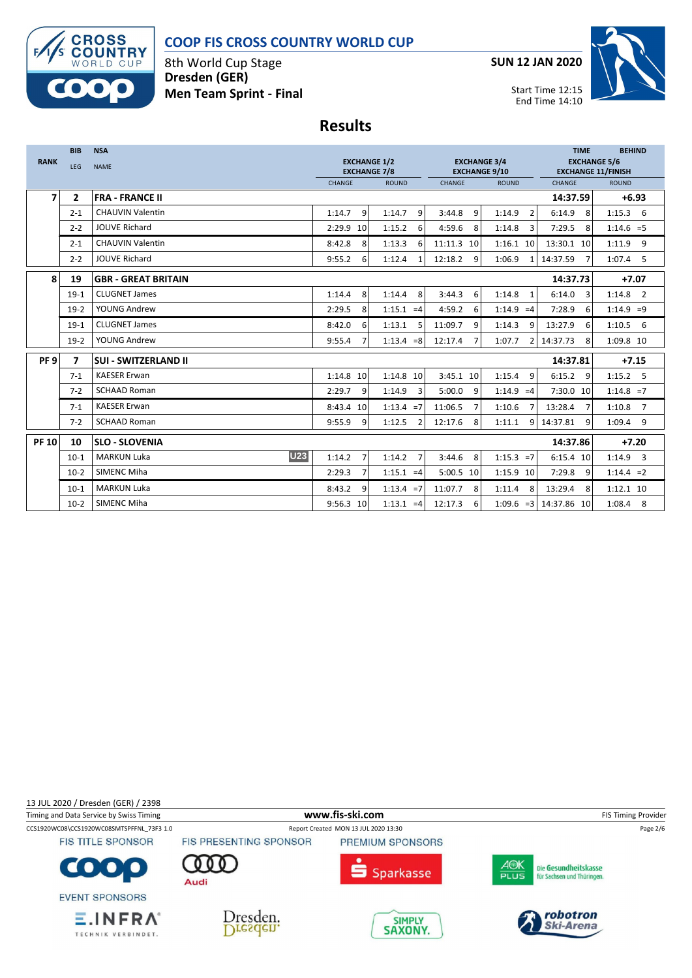

### **COOP FIS CROSS COUNTRY WORLD CUP**

8th World Cup Stage **Dresden (GER) Men Team Sprint - Final** **SUN 12 JAN 2020**



Start Time 12:15 End Time 14:10

## **Results**

|                 | <b>BIB</b>     | <b>NSA</b>                       |                          |                                                                                           |              |                          | <b>TIME</b>                                      | <b>BEHIND</b> |
|-----------------|----------------|----------------------------------|--------------------------|-------------------------------------------------------------------------------------------|--------------|--------------------------|--------------------------------------------------|---------------|
| <b>RANK</b>     | LEG            | <b>NAME</b>                      |                          | <b>EXCHANGE 1/2</b><br><b>EXCHANGE 3/4</b><br><b>EXCHANGE 7/8</b><br><b>EXCHANGE 9/10</b> |              |                          | <b>EXCHANGE 5/6</b><br><b>EXCHANGE 11/FINISH</b> |               |
|                 |                |                                  | CHANGE                   | <b>ROUND</b>                                                                              | CHANGE       | <b>ROUND</b>             | CHANGE                                           | <b>ROUND</b>  |
| $\overline{ }$  | $\mathbf{2}$   | <b>FRA - FRANCE II</b>           |                          |                                                                                           |              |                          | 14:37.59                                         | $+6.93$       |
|                 | $2 - 1$        | <b>CHAUVIN Valentin</b>          | 9<br>1:14.7              | 1:14.7<br>9                                                                               | 9<br>3:44.8  | 1:14.9<br>$\overline{2}$ | 6:14.9<br>8                                      | $1:15.3$ 6    |
|                 | $2 - 2$        | <b>JOUVE Richard</b>             | 2:29.9 10                | 1:15.2<br>6                                                                               | 4:59.6<br>8  | 1:14.8<br>3              | 7:29.5<br>8                                      | $1:14.6 = 5$  |
|                 | $2 - 1$        | <b>CHAUVIN Valentin</b>          | 8:42.8<br>8              | 1:13.3<br>6                                                                               | 11:11.3 10   | $1:16.1$ 10              | 13:30.1 10                                       | 1:11.9<br>9   |
|                 | $2 - 2$        | <b>JOUVE Richard</b>             | 9:55.2<br>6              | 1:12.4<br>1                                                                               | 12:18.2<br>9 | 1:06.9                   | 14:37.59                                         | $1:07.4$ 5    |
| 8               | 19             | <b>GBR - GREAT BRITAIN</b>       |                          |                                                                                           |              |                          | 14:37.73                                         | $+7.07$       |
|                 | $19-1$         | <b>CLUGNET James</b>             | 8<br>1:14.4              | 1:14.4<br>8                                                                               | 3:44.3<br>6  | 1:14.8<br>$\mathbf{1}$   | 6:14.0<br>3                                      | $1:14.8$ 2    |
|                 | $19-2$         | YOUNG Andrew                     | 2:29.5<br>8              | $1:15.1 = 4$                                                                              | 4:59.2<br>6  | 1:14.9<br>$=4$           | 7:28.9<br>6                                      | $1:14.9 = 9$  |
|                 | $19-1$         | <b>CLUGNET James</b>             | 8:42.0<br>6              | 1:13.1<br>5                                                                               | 11:09.7<br>9 | 1:14.3<br>9              | 13:27.9<br>6                                     | $1:10.5$ 6    |
|                 | $19-2$         | YOUNG Andrew                     | 9:55.4<br>7              | $1:13.4 = 8$                                                                              | 12:17.4      | 1:07.7                   | 14:37.73<br>8                                    | 1:09.8 10     |
| PF <sub>9</sub> | $\overline{ }$ | <b>SUI - SWITZERLAND II</b>      |                          |                                                                                           |              |                          | 14:37.81                                         | $+7.15$       |
|                 | $7-1$          | <b>KAESER Erwan</b>              | 1:14.8 10                | 1:14.8 10                                                                                 | 3:45.1 10    | 1:15.4<br>9              | 6:15.2<br>9                                      | $1:15.2$ 5    |
|                 | $7 - 2$        | <b>SCHAAD Roman</b>              | 2:29.7<br>9              | 1:14.9<br>$\overline{3}$                                                                  | 5:00.0<br>9  | 1:14.9<br>$=4$           | 7:30.0 10                                        | $1:14.8 = 7$  |
|                 | $7 - 1$        | <b>KAESER Erwan</b>              | 8:43.4 10                | $1:13.4 = 7$                                                                              | 11:06.5      | 1:10.6                   | 13:28.4                                          | $1:10.8$ 7    |
|                 | $7 - 2$        | <b>SCHAAD Roman</b>              | 9:55.9<br>9              | 1:12.5<br>$\overline{2}$                                                                  | 12:17.6<br>8 | 1:11.1<br>q              | 14:37.81<br>9                                    | $1:09.4$ 9    |
| <b>PF 10</b>    | 10             | <b>SLO - SLOVENIA</b>            |                          |                                                                                           |              |                          | 14:37.86                                         | $+7.20$       |
|                 | $10-1$         | <b>U23</b><br><b>MARKUN Luka</b> | 1:14.2<br>$\overline{7}$ | 1:14.2<br>7                                                                               | 3:44.6<br>8  | 1:15.3<br>$=7$           | 6:15.4 10                                        | $1:14.9$ 3    |
|                 | $10-2$         | SIMENC Miha                      | 2:29.3<br>7              | $1:15.1 = 4$                                                                              | 5:00.5 10    | 1:15.9 10                | 7:29.8<br>q                                      | $1:14.4 = 2$  |
|                 | $10-1$         | <b>MARKUN Luka</b>               | 8:43.2<br>9              | $1:13.4 = 7$                                                                              | 11:07.7<br>8 | 1:11.4<br>8              | 13:29.4<br>8                                     | 1:12.1 10     |
|                 | $10-2$         | SIMENC Miha                      | 9:56.3 10                | $1:13.1 = 4$                                                                              | 12:17.3<br>6 | $1:09.6 = 3$             | 14:37.86 10                                      | $1:08.4$ 8    |

13 JUL 2020 / Dresden (GER) / 2398

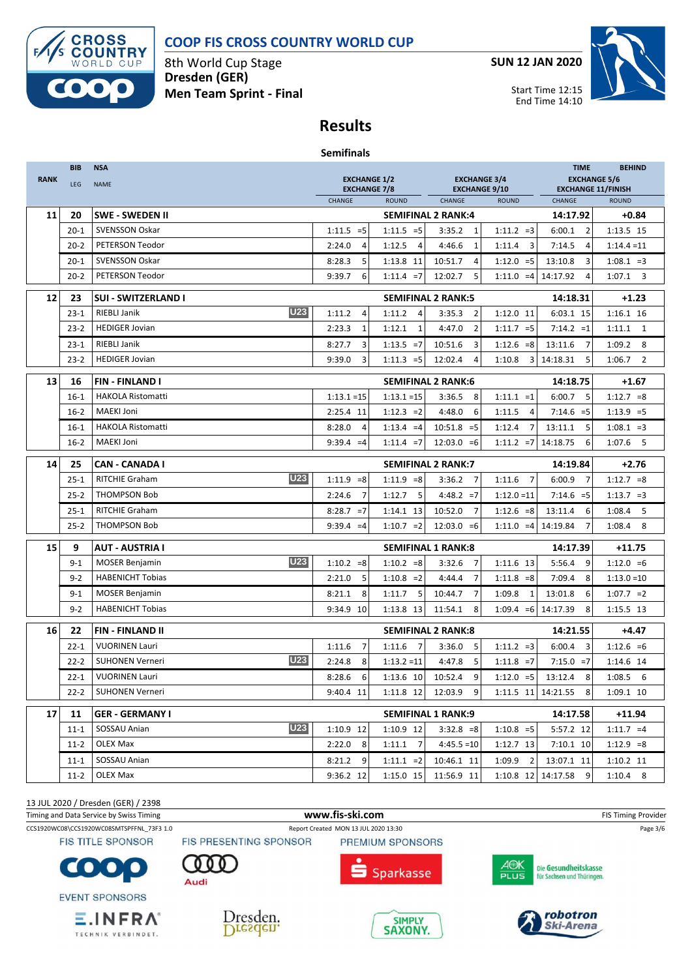

## **COOP FIS CROSS COUNTRY WORLD CUP**

8th World Cup Stage **Dresden (GER) Men Team Sprint - Final** **SUN 12 JAN 2020**



Start Time 12:15 End Time 14:10

# **Results**

|             | <b>BIB</b>     | <b>NSA</b>                                                     |                                            |                                        |                                             |                          | <b>TIME</b>                                      | <b>BEHIND</b>            |
|-------------|----------------|----------------------------------------------------------------|--------------------------------------------|----------------------------------------|---------------------------------------------|--------------------------|--------------------------------------------------|--------------------------|
| <b>RANK</b> | <b>LEG</b>     | <b>NAME</b>                                                    | <b>EXCHANGE 1/2</b><br><b>EXCHANGE 7/8</b> |                                        | <b>EXCHANGE 3/4</b><br><b>EXCHANGE 9/10</b> |                          | <b>EXCHANGE 5/6</b><br><b>EXCHANGE 11/FINISH</b> |                          |
|             |                |                                                                | CHANGE                                     | <b>ROUND</b>                           | CHANGE                                      | <b>ROUND</b>             | <b>CHANGE</b>                                    | <b>ROUND</b>             |
| 11          | 20             | <b>SWE - SWEDEN II</b>                                         |                                            |                                        | <b>SEMIFINAL 2 RANK:4</b>                   |                          | 14:17.92                                         | $+0.84$                  |
|             | $20 - 1$       | <b>SVENSSON Oskar</b>                                          | $1:11.5 = 5$                               | $1:11.5 = 5$                           | 3:35.2<br>1                                 | $1:11.2 = 3$             | 6:00.1<br>$\overline{2}$                         | 1:13.5 15                |
|             | $20 - 2$       | PETERSON Teodor                                                | 2:24.0<br>4                                | 1:12.5<br>4                            | $\mathbf{1}$<br>4:46.6                      | 1:11.4<br>3              | 7:14.5<br>4                                      | $1:14.4 = 11$            |
|             | $20 - 1$       | <b>SVENSSON Oskar</b>                                          | 5<br>8:28.3                                | 1:13.8 11                              | 10:51.7<br>4                                | $1:12.0 = 5$             | 13:10.8<br>3                                     | $1:08.1 = 3$             |
|             | $20 - 2$       | PETERSON Teodor                                                | 9:39.7<br>6                                | $1:11.4 = 7$                           | 12:02.7<br>5                                | $1:11.0 = 4$             | 14:17.92<br>4                                    | $1:07.1$ 3               |
| 12          | 23             | <b>SUI - SWITZERLAND I</b>                                     |                                            |                                        | <b>SEMIFINAL 2 RANK:5</b>                   |                          | 14:18.31                                         | $+1.23$                  |
|             | $23 - 1$       | <b>U23</b><br><b>RIEBLI Janik</b>                              | 1:11.2<br>$\overline{4}$                   | 1:11.2<br>$\overline{4}$               | $\overline{2}$<br>3:35.3                    | $1:12.0$ 11              | 6:03.1 15                                        | 1:16.1 16                |
|             | $23 - 2$       | <b>HEDIGER Jovian</b>                                          | 2:23.3<br>$\mathbf{1}$                     | 1:12.1<br>$\mathbf{1}$                 | 4:47.0<br>$\overline{2}$                    | $1:11.7 = 5$             | $7:14.2 = 1$                                     | $1:11.1$ 1               |
|             | $23 - 1$       | RIEBLI Janik                                                   | 3<br>8:27.7                                | $1:13.5 = 7$                           | 3<br>10:51.6                                | $1:12.6 = 8$             | 13:11.6<br>7                                     | $1:09.2$ 8               |
|             | $23 - 2$       | <b>HEDIGER Jovian</b>                                          | 9:39.0<br>3                                | $1:11.3 = 5$                           | 12:02.4<br>4                                | 1:10.8<br>3              | 14:18.31<br>5                                    | 1:06.7<br>$\overline{2}$ |
| 13          | 16             | FIN - FINLAND I                                                |                                            |                                        | <b>SEMIFINAL 2 RANK:6</b>                   |                          | 14:18.75                                         | $+1.67$                  |
|             | $16-1$         | <b>HAKOLA Ristomatti</b>                                       | $1:13.1 = 15$                              | $1:13.1 = 15$                          | 3:36.5<br>8                                 | $1:11.1 = 1$             | 6:00.7<br>5                                      | $1:12.7 = 8$             |
|             | $16 - 2$       | <b>MAEKI Joni</b>                                              | 2:25.4 11                                  | $1:12.3 = 2$                           | 4:48.0<br>6                                 | 1:11.5<br>4              | $7:14.6 = 5$                                     | $1:13.9 = 5$             |
|             | $16-1$         | <b>HAKOLA Ristomatti</b>                                       | 8:28.0<br>$\overline{4}$                   | $1:13.4 = 4$                           | $10:51.8 = 5$                               | 1:12.4<br>7              | 5<br>13:11.1                                     | $1:08.1 = 3$             |
|             | $16 - 2$       | <b>MAEKI Joni</b>                                              | $9:39.4 = 4$                               | $1:11.4 = 7$                           | $12:03.0 = 6$                               | $1:11.2 = 7$             | 14:18.75<br>6                                    | $1:07.6$ 5               |
| 14          | 25             | <b>CAN - CANADA I</b>                                          |                                            |                                        | <b>SEMIFINAL 2 RANK:7</b>                   |                          | 14:19.84                                         | $+2.76$                  |
|             | $25 - 1$       | <b>U23</b><br>RITCHIE Graham                                   | $1:11.9 = 8$                               | $1:11.9 = 8$                           | 3:36.2<br>$\overline{7}$                    | 1:11.6<br>7              | 6:00.9<br>7                                      | $1:12.7 = 8$             |
|             | $25 - 2$       | <b>THOMPSON Bob</b>                                            | 2:24.6<br>7                                | 5<br>1:12.7                            | $4:48.2 = 7$                                | $1:12.0 = 11$            | $7:14.6 = 5$                                     | $1:13.7 = 3$             |
|             | $25 - 1$       | RITCHIE Graham                                                 | $8:28.7 = 7$                               | 1:14.1 13                              | 7<br>10:52.0                                | $1:12.6 = 8$             | 13:11.4<br>6                                     | 1:08.4<br>5              |
|             | $25 - 2$       | <b>THOMPSON Bob</b>                                            | $9:39.4 = 4$                               | $1:10.7 = 2$                           | $12:03.0 = 6$                               | $1:11.0 = 4$             | 7<br>14:19.84                                    | 1:08.4<br>8              |
| 15          | 9              | <b>AUT - AUSTRIA I</b>                                         |                                            |                                        | <b>SEMIFINAL 1 RANK:8</b>                   | 14:17.39                 | $+11.75$                                         |                          |
|             | $9 - 1$        | <b>U23</b><br><b>MOSER Benjamin</b>                            | $1:10.2 = 8$                               | $1:10.2 = 8$                           | 3:32.6<br>$\overline{7}$                    | 1:11.6 13                | 5:56.4<br>9                                      | $1:12.0 = 6$             |
|             | $9 - 2$        | <b>HABENICHT Tobias</b>                                        | 2:21.0<br>5                                | $1:10.8 = 2$                           | 4:44.4<br>7                                 | $1:11.8 = 8$             | 8<br>7:09.4                                      | $1:13.0=10$              |
|             | $9 - 1$        | <b>MOSER Benjamin</b>                                          | 8<br>8:21.1                                | 5<br>1:11.7                            | 7<br>10:44.7                                | 1:09.8<br>1              | 6<br>13:01.8                                     | $1:07.7 = 2$             |
|             | $9 - 2$        | <b>HABENICHT Tobias</b>                                        | 9:34.9 10                                  | 1:13.8 13                              | 11:54.1<br>8                                | $1:09.4 = 6$             | 14:17.39<br>8                                    | 1:15.5 13                |
| 16          | 22             | <b>FIN-FINLAND II</b><br><b>SEMIFINAL 2 RANK:8</b><br>14:21.55 |                                            |                                        |                                             | $+4.47$                  |                                                  |                          |
|             | $22 - 1$       | <b>VUORINEN Lauri</b>                                          | 1:11.6<br>$\overline{7}$                   | 1:11.6<br>$\overline{7}$               | 3:36.0<br>5                                 | $1:11.2 = 3$             | 6:00.4<br>3                                      | $1:12.6 = 6$             |
|             | $22 - 2$       | <b>U23</b><br><b>SUHONEN Verneri</b>                           | 2:24.8<br>8                                | $1:13.2 = 11$                          | 4:47.8<br>5                                 | $1:11.8 = 7$             | $7:15.0 = 7$                                     | 1:14.6 14                |
|             | $22 - 1$       | <b>VUORINEN Lauri</b>                                          | 8:28.6<br>6                                | 1:13.6 10                              | 9<br>10:52.4                                | $1:12.0 = 5$             | 13:12.4<br>8                                     | $1:08.5$ 6               |
|             | $22 - 2$       | <b>SUHONEN Verneri</b>                                         | 9:40.4 11                                  | 1:11.8 12                              | 12:03.9<br>9                                | 1:11.5 11                | 14:21.55<br>8                                    | 1:09.1 10                |
| 17          |                |                                                                |                                            |                                        |                                             |                          |                                                  |                          |
|             |                |                                                                |                                            |                                        |                                             |                          |                                                  |                          |
|             | 11<br>$11 - 1$ | <b>GER - GERMANY I</b><br><b>U23</b><br>SOSSAU Anian           | 1:10.9 12                                  | <b>SEMIFINAL 1 RANK:9</b><br>1:10.9 12 | $3:32.8 = 8$                                | $1:10.8 = 5$             | 14:17.58<br>5:57.2 12                            | +11.94<br>$1:11.7 = 4$   |
|             | $11 - 2$       | OLEX Max                                                       | 2:22.0<br>- 8                              | $1:11.1$ 7                             | $4:45.5 = 10$                               | 1:12.7 13                | 7:10.1 10                                        | $1:12.9 = 8$             |
|             | $11 - 1$       | SOSSAU Anian                                                   | 8:21.2<br>9                                | $1:11.1 = 2$                           | 10:46.1 11                                  | 1:09.9<br>$\overline{2}$ | 13:07.1 11                                       | 1:10.2 11                |

13 JUL 2020 / Dresden (GER) / 2398

TECHNIK VERBINDET.

Timing and Data Service by Swiss Timing **WWW.fis-Ski.com www.fis-ski.com** FIS Timing Provider CCS1920WC08\CCS1920WC08SMTSPFFNL\_73F3 1.0 Report Created MON 13 JUL 2020 13:30 Page 3/6 **FIS TITLE SPONSOR** FIS PRESENTING SPONSOR PREMIUM SPONSORS AOK<br>PLUS Die Gesundheitskasse C  $\bullet$  : **Sparkasse** für Sachsen und Thüringen. Audi **EVENT SPONSORS** robotron  $E$ . INFRA $^{\circ}$ 





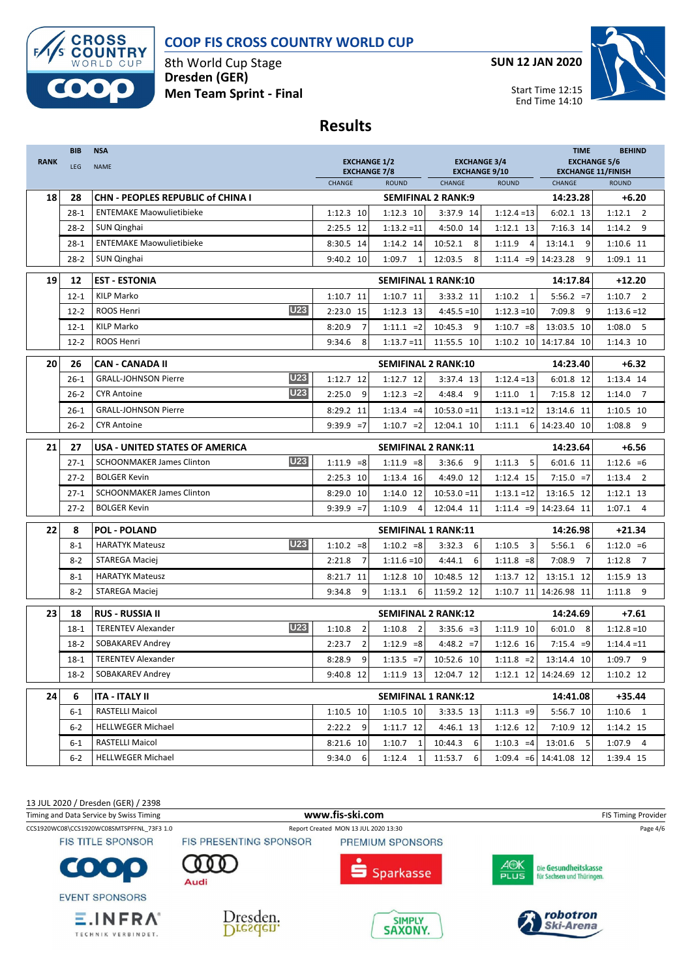



8th World Cup Stage **Dresden (GER) Men Team Sprint - Final** **SUN 12 JAN 2020**



#### **Results**

| <b>RANK</b> | <b>BIB</b><br>LEG | <b>NSA</b><br><b>NAME</b>                      | <b>EXCHANGE 1/2</b><br><b>EXCHANGE 7/8</b> |                            | <b>EXCHANGE 3/4</b><br><b>EXCHANGE 9/10</b> |                          | <b>TIME</b><br><b>EXCHANGE 5/6</b><br><b>EXCHANGE 11/FINISH</b> | <b>BEHIND</b>            |
|-------------|-------------------|------------------------------------------------|--------------------------------------------|----------------------------|---------------------------------------------|--------------------------|-----------------------------------------------------------------|--------------------------|
|             |                   |                                                | CHANGE                                     | <b>ROUND</b>               | CHANGE                                      | <b>ROUND</b>             | CHANGE                                                          | <b>ROUND</b>             |
| 18          | 28                | CHN - PEOPLES REPUBLIC of CHINA I              |                                            |                            | <b>SEMIFINAL 2 RANK:9</b>                   |                          | 14:23.28                                                        | $+6.20$                  |
|             | $28-1$            | <b>ENTEMAKE Maowulietibieke</b>                | $1:12.3$ 10                                | 1:12.3 10                  | 3:37.9 14                                   | $1:12.4 = 13$            | 6:02.1 13                                                       | $1:12.1$ 2               |
|             | $28 - 2$          | SUN Qinghai                                    | 2:25.5 12                                  | $1:13.2 = 11$              | 4:50.0 14                                   | 1:12.1 13                | 7:16.3 14                                                       | 1:14.2<br>9              |
|             | $28-1$            | <b>ENTEMAKE Maowulietibieke</b>                | 8:30.5 14                                  | 1:14.2 14                  | 10:52.1<br>8                                | 1:11.9<br>$\overline{a}$ | 13:14.1<br>9                                                    | 1:10.6 11                |
|             | 28-2              | SUN Qinghai                                    | 9:40.2 10                                  | 1:09.7<br>1                | 12:03.5<br>8                                | $1:11.4 = 9$             | 9<br>14:23.28                                                   | 1:09.1 11                |
| 19          | 12                | <b>EST - ESTONIA</b>                           |                                            | <b>SEMIFINAL 1 RANK:10</b> |                                             |                          | 14:17.84                                                        | $+12.20$                 |
|             | $12 - 1$          | <b>KILP Marko</b>                              | 1:10.7 11                                  | $1:10.7$ 11                | 3:33.2 11                                   | 1:10.2<br>$\mathbf{1}$   | $5:56.2 = 7$                                                    | $1:10.7$ 2               |
|             | $12 - 2$          | <b>U23</b><br><b>ROOS Henri</b>                | 2:23.0<br>15                               | 1:12.3 13                  | $4:45.5 = 10$                               | $1:12.3 = 10$            | 7:09.8<br>-9                                                    | $1:13.6 = 12$            |
|             | $12 - 1$          | <b>KILP Marko</b>                              | $\overline{7}$<br>8:20.9                   | $1:11.1 = 2$               | 10:45.3<br>9                                | $1:10.7 = 8$             | 13:03.5 10                                                      | $1:08.0$ 5               |
|             | $12 - 2$          | ROOS Henri                                     | 9:34.6<br>8                                | $1:13.7=11$                | 11:55.5 10                                  | 1:10.2 10                | 14:17.84 10                                                     | 1:14.3 10                |
| 20          | 26                | CAN - CANADA II                                |                                            | <b>SEMIFINAL 2 RANK:10</b> |                                             |                          | 14:23.40                                                        | $+6.32$                  |
|             | $26 - 1$          | <b>U23</b><br><b>GRALL-JOHNSON Pierre</b>      | 1:12.7 12                                  | 1:12.7 12                  | 3:37.4 13                                   | $1:12.4=13$              | 6:01.8 12                                                       | 1:13.4 14                |
|             | $26 - 2$          | <b>U23</b><br><b>CYR Antoine</b>               | 2:25.0<br>9                                | $1:12.3 = 2$               | 4:48.4<br>9                                 | 1:11.0<br>$\mathbf{1}$   | 7:15.8 12                                                       | 1:14.0<br>$\overline{7}$ |
|             | $26 - 1$          | <b>GRALL-JOHNSON Pierre</b>                    | 8:29.2 11                                  | $1:13.4 = 4$               | $10:53.0 = 11$                              | $1:13.1 = 12$            | 13:14.6 11                                                      | 1:10.5 10                |
|             | $26 - 2$          | <b>CYR Antoine</b>                             | $9:39.9 = 7$                               | $1:10.7 = 2$               | 12:04.1 10                                  | 1:11.1<br>6              | 14:23.40 10                                                     | $1:08.8$ 9               |
| 21          | 27                | USA - UNITED STATES OF AMERICA                 |                                            | <b>SEMIFINAL 2 RANK:11</b> |                                             |                          | 14:23.64                                                        | $+6.56$                  |
|             | $27 - 1$          | <b>U23</b><br><b>SCHOONMAKER James Clinton</b> | $1:11.9 = 8$                               | $1:11.9 = 8$               | 3:36.6<br>9                                 | 1:11.3<br>5              | 6:01.6 11                                                       | $1:12.6 = 6$             |
|             | $27 - 2$          | <b>BOLGER Kevin</b>                            | 2:25.3 10                                  | 1:13.4 16                  | 4:49.0 12                                   | 1:12.4 15                | $7:15.0 = 7$                                                    | $1:13.4$ 2               |
|             | $27-1$            | <b>SCHOONMAKER James Clinton</b>               | 8:29.0 10                                  | 1:14.0 12                  | $10:53.0 = 11$                              | $1:13.1 = 12$            | 13:16.5 12                                                      | 1:12.1 13                |
|             | $27 - 2$          | <b>BOLGER Kevin</b>                            | $9:39.9 = 7$                               | 1:10.9<br>4                | 12:04.4 11                                  | $1:11.4 = 9$             | 14:23.64 11                                                     | $1:07.1$ 4               |
| 22          | 8                 | <b>POL - POLAND</b>                            |                                            | <b>SEMIFINAL 1 RANK:11</b> |                                             |                          | 14:26.98                                                        | $+21.34$                 |
|             | $8 - 1$           | <b>U23</b><br><b>HARATYK Mateusz</b>           | $1:10.2 = 8$                               | $1:10.2 = 8$               | 3:32.3<br>6                                 | $\overline{3}$<br>1:10.5 | 5:56.1<br>6                                                     | $1:12.0 = 6$             |
|             | $8 - 2$           | STAREGA Maciej                                 | 2:21.8<br>$\overline{7}$                   | $1:11.6=10$                | 4:44.1<br>6                                 | $1:11.8 = 8$             | 7:08.9<br>$\overline{7}$                                        | $1:12.8$ 7               |
|             | $8 - 1$           | <b>HARATYK Mateusz</b>                         | 8:21.7<br>11                               | 1:12.8 10                  | 10:48.5 12                                  | 1:13.7 12                | 13:15.1 12                                                      | 1:15.9 13                |
|             | $8 - 2$           | STAREGA Maciej                                 | 9<br>9:34.8                                | 1:13.1<br>6                | 11:59.2 12                                  | 1:10.7 11                | 14:26.98 11                                                     | 1:11.8<br>9              |
| 23          | 18                | <b>RUS - RUSSIA II</b>                         |                                            | <b>SEMIFINAL 2 RANK:12</b> |                                             |                          | 14:24.69                                                        | $+7.61$                  |
|             | $18-1$            | <b>U23</b><br><b>TERENTEV Alexander</b>        | 1:10.8<br>$\overline{2}$                   | 1:10.8<br>$\overline{2}$   | $3:35.6 = 3$                                | 1:11.9 10                | 6:01.0<br>8                                                     | $1:12.8=10$              |
|             | $18-2$            | SOBAKAREV Andrey                               | $\overline{2}$<br>2:23.7                   | $1:12.9 = 8$               | $4:48.2 = 7$                                | 1:12.6 16                | $7:15.4 = 9$                                                    | $1:14.4 = 11$            |
|             | $18-1$            | <b>TERENTEV Alexander</b>                      | 9<br>8:28.9                                | $1:13.5 = 7$               | 10:52.6 10                                  | $1:11.8 = 2$             | 13:14.4 10                                                      | 1:09.7 9                 |
|             | $18-2$            | SOBAKAREV Andrey                               | 9:40.8 12                                  | 1:11.9 13                  | 12:04.7 12                                  |                          | 1:12.1 12 14:24.69 12                                           | 1:10.2 12                |
| 24          | 6                 | ITA - ITALY II                                 |                                            | <b>SEMIFINAL 1 RANK:12</b> |                                             |                          | 14:41.08                                                        | $+35.44$                 |
|             | 6-1               | <b>RASTELLI Maicol</b>                         | 1:10.5 10                                  | 1:10.5 10                  | 3:33.5 13                                   | $1:11.3 = 9$             | 5:56.7 10                                                       | $1:10.6$ 1               |
|             | $6-2$             | <b>HELLWEGER Michael</b>                       | $2:22.2$ 9                                 | 1:11.7 12                  | 4:46.1 13                                   | 1:12.6 12                | 7:10.9 12                                                       | 1:14.2 15                |
|             | $6 - 1$           | RASTELLI Maicol                                | 8:21.6 10                                  | $1:10.7$ 1                 | 10:44.3<br>6                                | $1:10.3 = 4$             | 13:01.6 5                                                       | $1:07.9$ 4               |
|             | $6-2$             | <b>HELLWEGER Michael</b>                       | 9:34.0<br>- 6                              | 1:12.4<br>1                | 11:53.7<br>6                                | $1:09.4 = 6$             | 14:41.08 12                                                     | 1:39.4 15                |

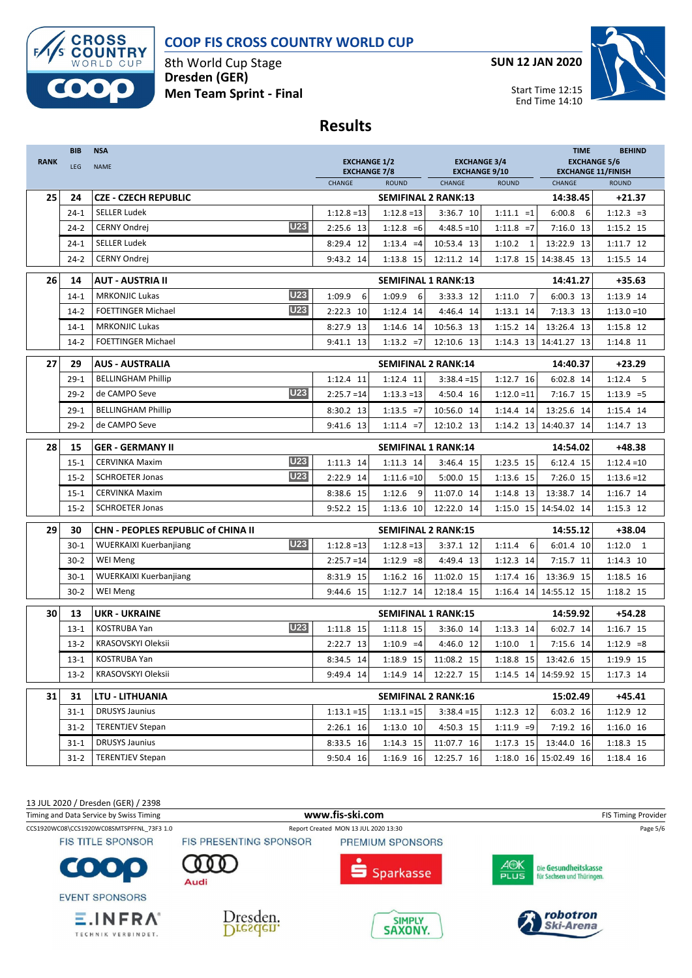



Start Time 12:15 End Time 14:10



8th World Cup Stage **Dresden (GER) Men Team Sprint - Final**

### **Results**

| <b>RANK</b> | <b>BIB</b><br><b>LEG</b> | <b>NSA</b><br><b>NAME</b>          | <b>EXCHANGE 1/2</b><br><b>EXCHANGE 7/8</b><br>CHANGE<br><b>ROUND</b> |               |               | <b>EXCHANGE 3/4</b>            |                          | <b>TIME</b><br><b>BEHIND</b><br><b>EXCHANGE 5/6</b><br><b>EXCHANGE 11/FINISH</b> |               |
|-------------|--------------------------|------------------------------------|----------------------------------------------------------------------|---------------|---------------|--------------------------------|--------------------------|----------------------------------------------------------------------------------|---------------|
|             |                          |                                    |                                                                      |               |               | <b>EXCHANGE 9/10</b><br>CHANGE | <b>ROUND</b>             | CHANGE                                                                           | <b>ROUND</b>  |
| 25          | 24                       | <b>CZE - CZECH REPUBLIC</b>        |                                                                      |               |               | <b>SEMIFINAL 2 RANK:13</b>     |                          | 14:38.45                                                                         | $+21.37$      |
|             | $24-1$                   | <b>SELLER Ludek</b>                |                                                                      | $1:12.8 = 13$ | $1:12.8 = 13$ | 3:36.7 10                      | $1:11.1 = 1$             | 6:00.8<br>6                                                                      | $1:12.3 = 3$  |
|             | $24 - 2$                 | <b>CERNY Ondrej</b>                | <b>U23</b>                                                           | 2:25.6 13     | $1:12.8 = 6$  | $4:48.5=10$                    | $1:11.8 = 7$             | 7:16.0 13                                                                        | 1:15.2 15     |
|             | $24 - 1$                 | <b>SELLER Ludek</b>                |                                                                      | 8:29.4 12     | $1:13.4 = 4$  | 10:53.4 13                     | 1:10.2<br>$\mathbf{1}$   | 13:22.9 13                                                                       | 1:11.7 12     |
|             | $24 - 2$                 | CERNY Ondrej                       |                                                                      | 9:43.2 14     | 1:13.8 15     | 12:11.2 14                     |                          | 1:17.8 15 14:38.45 13                                                            | 1:15.5 14     |
| 26          | 14                       | <b>AUT - AUSTRIA II</b>            |                                                                      |               |               | <b>SEMIFINAL 1 RANK:13</b>     |                          | 14:41.27                                                                         | $+35.63$      |
|             | $14 - 1$                 | <b>MRKONJIC Lukas</b>              | <b>U23</b>                                                           | 1:09.9<br>6   | 1:09.9<br>6   | 3:33.3 12                      | $\overline{7}$<br>1:11.0 | 6:00.3 13                                                                        | 1:13.9 14     |
|             | $14 - 2$                 | <b>FOETTINGER Michael</b>          | <b>U23</b>                                                           | 2:22.3 10     | 1:12.4 14     | 4:46.4 14                      | 1:13.1 14                | 7:13.3 13                                                                        | $1:13.0=10$   |
|             | $14 - 1$                 | <b>MRKONJIC Lukas</b>              |                                                                      | 8:27.9 13     | 1:14.6 14     | 10:56.3 13                     | 1:15.2 14                | 13:26.4 13                                                                       | 1:15.8 12     |
|             | $14-2$                   | <b>FOETTINGER Michael</b>          |                                                                      | 9:41.1 13     | $1:13.2 = 7$  | 12:10.6 13                     |                          | 1:14.3 13 14:41.27 13                                                            | 1:14.8 11     |
| 27          | 29                       | <b>AUS - AUSTRALIA</b>             |                                                                      |               |               | <b>SEMIFINAL 2 RANK:14</b>     |                          | 14:40.37                                                                         | $+23.29$      |
|             | $29-1$                   | <b>BELLINGHAM Phillip</b>          |                                                                      | 1:12.4 11     | 1:12.4 11     | $3:38.4 = 15$                  | 1:12.7 16                | 6:02.8 14                                                                        | $1:12.4$ 5    |
|             | $29 - 2$                 | de CAMPO Seve                      | <b>U23</b>                                                           | $2:25.7=14$   | $1:13.3 = 13$ | 4:50.4 16                      | $1:12.0 = 11$            | 7:16.7 15                                                                        | $1:13.9 = 5$  |
|             | $29-1$                   | <b>BELLINGHAM Phillip</b>          |                                                                      | 8:30.2 13     | $1:13.5 = 7$  | 10:56.0 14                     | 1:14.4 14                | 13:25.6 14                                                                       | 1:15.4 14     |
|             | $29-2$                   | de CAMPO Seve                      |                                                                      | 9:41.6 13     | $1:11.4 = 7$  | 12:10.2 13                     |                          | 1:14.2 13 14:40.37 14                                                            | 1:14.7 13     |
| 28          | 15                       | <b>GER - GERMANY II</b>            |                                                                      |               |               | <b>SEMIFINAL 1 RANK:14</b>     |                          | 14:54.02                                                                         | $+48.38$      |
|             | $15 - 1$                 | <b>CERVINKA Maxim</b>              | <b>U23</b>                                                           | 1:11.3 14     | 1:11.3 14     | 3:46.4 15                      | 1:23.5 15                | 6:12.4 15                                                                        | $1:12.4 = 10$ |
|             | $15 - 2$                 | <b>SCHROETER Jonas</b>             | <b>U23</b>                                                           | 2:22.9 14     | $1:11.6=10$   | 5:00.0 15                      | 1:13.6 15                | 7:26.0 15                                                                        | $1:13.6=12$   |
|             | $15 - 1$                 | <b>CERVINKA Maxim</b>              |                                                                      | 8:38.6 15     | 1:12.6<br>- 9 | 11:07.0 14                     | 1:14.8 13                | 13:38.7 14                                                                       | 1:16.7 14     |
|             | $15 - 2$                 | <b>SCHROETER Jonas</b>             |                                                                      | 9:52.2 15     | 1:13.6 10     | 12:22.0 14                     |                          | 1:15.0 15 14:54.02 14                                                            | 1:15.3 12     |
| 29          | 30                       | CHN - PEOPLES REPUBLIC of CHINA II |                                                                      |               |               | <b>SEMIFINAL 2 RANK:15</b>     |                          | 14:55.12                                                                         | +38.04        |
|             | $30-1$                   | <b>WUERKAIXI Kuerbanjiang</b>      | <b>U23</b>                                                           | $1:12.8 = 13$ | $1:12.8 = 13$ | 3:37.1 12                      | 1:11.4<br>6              | 6:01.4 10                                                                        | $1:12.0$ 1    |
|             | $30 - 2$                 | WEI Meng                           |                                                                      | $2:25.7=14$   | $1:12.9 = 8$  | 4:49.4 13                      | 1:12.3 14                | 7:15.7 11                                                                        | 1:14.3 10     |
|             | $30 - 1$                 | <b>WUERKAIXI Kuerbanjiang</b>      |                                                                      | 8:31.9 15     | 1:16.2 16     | 11:02.0 15                     | 1:17.4 16                | 13:36.9 15                                                                       | 1:18.5 16     |
|             | $30 - 2$                 | <b>WEI Meng</b>                    |                                                                      | 9:44.6 15     | 1:12.7 14     | 12:18.4 15                     |                          | 1:16.4 14 14:55.12 15                                                            | 1:18.2 15     |
| 30          | 13                       | <b>UKR - UKRAINE</b>               |                                                                      |               |               | <b>SEMIFINAL 1 RANK:15</b>     |                          | 14:59.92                                                                         | $+54.28$      |
|             | $13 - 1$                 | <b>KOSTRUBA Yan</b>                | <b>U23</b>                                                           | 1:11.8 15     | 1:11.8 15     | 3:36.0 14                      | 1:13.3 14                | 6:02.7 14                                                                        | 1:16.7 15     |
|             | $13-2$                   | KRASOVSKYI Oleksii                 |                                                                      | 2:22.7 13     | $1:10.9 = 4$  | 4:46.0 12                      | 1:10.0<br>$\mathbf{1}$   | 7:15.6 14                                                                        | $1:12.9 = 8$  |
|             | $13 - 1$                 | <b>KOSTRUBA Yan</b>                |                                                                      | 8:34.5 14     | 1:18.9 15     | 11:08.2 15                     | 1:18.8 15                | 13:42.6 15                                                                       | 1:19.9 15     |
|             | $13-2$                   | KRASOVSKYI Oleksii                 |                                                                      | 9:49.4 14     | 1:14.9 14     | 12:22.7 15                     |                          | 1:14.5 14 14:59.92 15                                                            | 1:17.3 14     |
| 31          | 31                       | LTU - LITHUANIA                    |                                                                      |               |               | <b>SEMIFINAL 2 RANK:16</b>     |                          | 15:02.49                                                                         | $+45.41$      |
|             | $31 - 1$                 | <b>DRUSYS Jaunius</b>              |                                                                      | $1:13.1 = 15$ | $1:13.1 = 15$ | $3:38.4 = 15$                  | 1:12.3 12                | 6:03.2 16                                                                        | 1:12.9 12     |
|             | $31 - 2$                 | <b>TERENTJEV Stepan</b>            |                                                                      | 2:26.1 16     | 1:13.0 10     | 4:50.3 15                      | $1:11.9 = 9$             | 7:19.2 16                                                                        | 1:16.0 16     |
|             | $31 - 1$                 | <b>DRUSYS Jaunius</b>              |                                                                      | 8:33.5 16     | 1:14.3 15     | 11:07.7 16                     | 1:17.3 15                | 13:44.0 16                                                                       | 1:18.3 15     |
|             | $31-2$                   | <b>TERENTJEV Stepan</b>            |                                                                      | 9:50.4 16     | 1:16.9 16     | 12:25.7 16                     | 1:18.0 16                | 15:02.49 16                                                                      | 1:18.4 16     |
|             |                          |                                    |                                                                      |               |               |                                |                          |                                                                                  |               |

Timing and Data Service by Swiss Timing **WWW.fis-Ski.com www.fis-ski.com** FIS Timing Provider CCS1920WC08\CCS1920WC08SMTSPFFNL\_73F3 1.0 Report Created MON 13 JUL 2020 13:30 Page 5/6 **FIS TITLE SPONSOR** FIS PRESENTING SPONSOR PREMIUM SPONSORS AOK<br>PLUS Die Gesundheitskasse  $\blacksquare$  $\bullet$  : **Sparkasse** für Sachsen und Thüringen. Audi **EVENT SPONSORS** robotron  $E$ . INFRA<sup>®</sup> Dresden. SIMPLY<br>SAXONY. **Ski-Arena** Dresden. TECHNIK VERBINDET.



13 JUL 2020 / Dresden (GER) / 2398